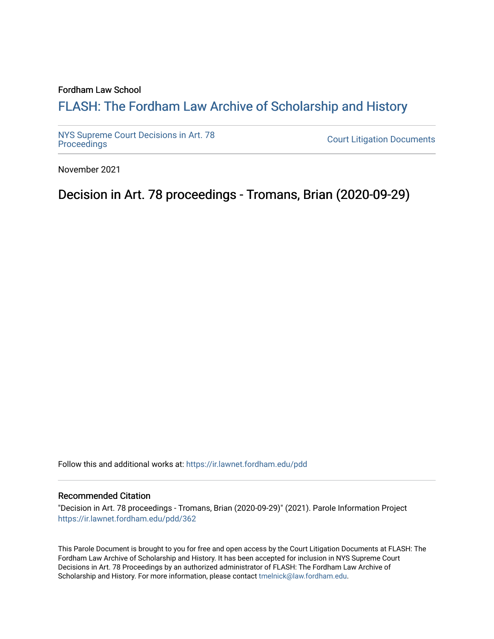### Fordham Law School

# FLASH: The For[dham Law Archive of Scholarship and Hist](https://ir.lawnet.fordham.edu/)ory

[NYS Supreme Court Decisions in Art. 78](https://ir.lawnet.fordham.edu/pdd)

**Court Litigation Documents** 

November 2021

Decision in Art. 78 proceedings - Tromans, Brian (2020-09-29)

Follow this and additional works at: [https://ir.lawnet.fordham.edu/pdd](https://ir.lawnet.fordham.edu/pdd?utm_source=ir.lawnet.fordham.edu%2Fpdd%2F362&utm_medium=PDF&utm_campaign=PDFCoverPages)

#### Recommended Citation

"Decision in Art. 78 proceedings - Tromans, Brian (2020-09-29)" (2021). Parole Information Project [https://ir.lawnet.fordham.edu/pdd/362](https://ir.lawnet.fordham.edu/pdd/362?utm_source=ir.lawnet.fordham.edu%2Fpdd%2F362&utm_medium=PDF&utm_campaign=PDFCoverPages)

This Parole Document is brought to you for free and open access by the Court Litigation Documents at FLASH: The Fordham Law Archive of Scholarship and History. It has been accepted for inclusion in NYS Supreme Court Decisions in Art. 78 Proceedings by an authorized administrator of FLASH: The Fordham Law Archive of Scholarship and History. For more information, please contact [tmelnick@law.fordham.edu](mailto:tmelnick@law.fordham.edu).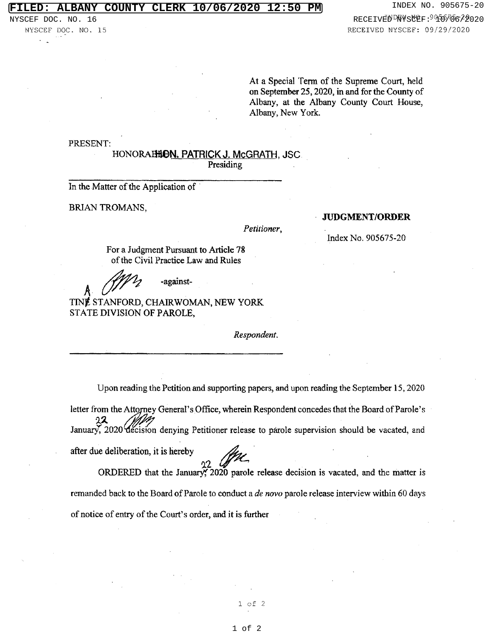At a Special Term of the Supreme Court, held on September 25, 2020, in and for the County of Albany, at the Albany County Court House, Albany, New York.

PRESENT:

HONORAHHON. PATRICK J. McGRATH, JSC

Presiding

In the Matter of the Application of

BRIAN TROMANS,

Petitioner,

JUDGMENT/ORDER

Index No. 905675-20

For a Judgment Pursuant to Article 78 of the Civil Practice Law and Rules

-against-

after due deliberation, it is hereby

TINg, STANFORD, CHAIRWOMAN, NEW YORK STATE DIVISION OF PAROLE,

Respondent.

Upon reading the Petition and supporting papers, and upon reading the September 15, 2020

letter from the Attorney General's Office, wherein Respondent concedes that the Board of Parole's anuary, 2020 decision denying Petitioner release to parole supervision should be vacated, and

92 ORDERED that the Januavj, 2020 parole release decision is vacated, and the matter is remanded back to the Board of Parole to conduct a de novo parole release interview within 60 days of notice of entry of the Court's order, and it is further